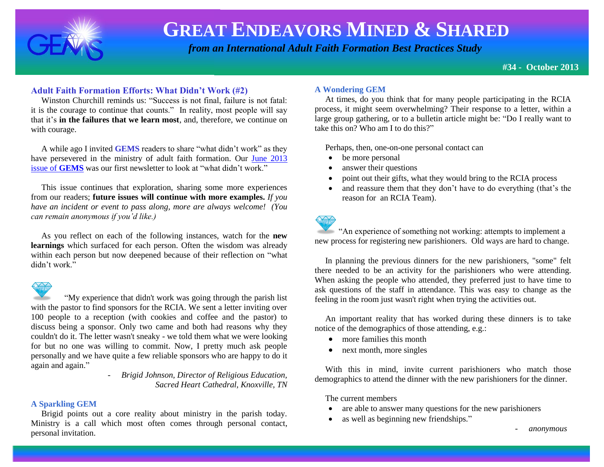

 *from an International Adult Faith Formation Best Practices Study*

**#34 - October 2013**

### **Adult Faith Formation Efforts: What Didn't Work (#2)**

 Winston Churchill reminds us: "Success is not final, failure is not fatal: it is the courage to continue that counts." In reality, most people will say that it's **in the failures that we learn most**, and, therefore, we continue on with courage.

 A while ago I invited **GEMS** readers to share "what didn't work" as they have persevered in the ministry of adult faith formation. Our [June 2013](http://www.janetschaeffler.com/GEMS__30.pdf)  [issue of](http://www.janetschaeffler.com/GEMS__30.pdf) **GEMS** was our first newsletter to look at "what didn't work."

 This issue continues that exploration, sharing some more experiences from our readers; **future issues will continue with more examples.** *If you have an incident or event to pass along, more are always welcome! (You can remain anonymous if you'd like.)*

 As you reflect on each of the following instances, watch for the **new learnings** which surfaced for each person. Often the wisdom was already within each person but now deepened because of their reflection on "what didn't work."



 "My experience that didn't work was going through the parish list with the pastor to find sponsors for the RCIA. We sent a letter inviting over 100 people to a reception (with cookies and coffee and the pastor) to discuss being a sponsor. Only two came and both had reasons why they couldn't do it. The letter wasn't sneaky - we told them what we were looking for but no one was willing to commit. Now, I pretty much ask people personally and we have quite a few reliable sponsors who are happy to do it again and again."

> - *Brigid Johnson, Director of Religious Education, Sacred Heart Cathedral, Knoxville, TN*

### **A Sparkling GEM**

Brigid points out a core reality about ministry in the parish today. Ministry is a call which most often comes through personal contact, personal invitation.

#### **A Wondering GEM**

 At times, do you think that for many people participating in the RCIA process, it might seem overwhelming? Their response to a letter, within a large group gathering, or to a bulletin article might be: "Do I really want to take this on? Who am I to do this?"

Perhaps, then, one-on-one personal contact can

- be more personal
- answer their questions
- point out their gifts, what they would bring to the RCIA process
- and reassure them that they don't have to do everything (that's the reason for an RCIA Team).

"An experience of something not working: attempts to implement a new process for registering new parishioners. Old ways are hard to change.

 In planning the previous dinners for the new parishioners, "some" felt there needed to be an activity for the parishioners who were attending. When asking the people who attended, they preferred just to have time to ask questions of the staff in attendance. This was easy to change as the feeling in the room just wasn't right when trying the activities out.

 An important reality that has worked during these dinners is to take notice of the demographics of those attending, e.g.:

- more families this month
- next month, more singles

With this in mind, invite current parishioners who match those demographics to attend the dinner with the new parishioners for the dinner.

The current members

- are able to answer many questions for the new parishioners
- as well as beginning new friendships."

- *anonymous*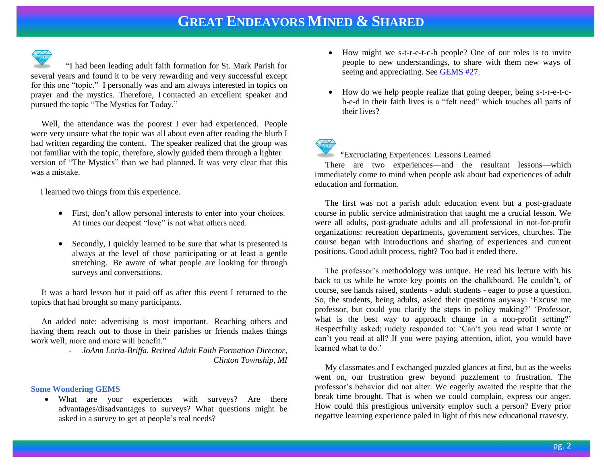"I had been leading adult faith formation for St. Mark Parish for several years and found it to be very rewarding and very successful except for this one "topic." I personally was and am always interested in topics on prayer and the mystics. Therefore, I contacted an excellent speaker and pursued the topic "The Mystics for Today."

 Well, the attendance was the poorest I ever had experienced. People were very unsure what the topic was all about even after reading the blurb I had written regarding the content. The speaker realized that the group was not familiar with the topic, therefore, slowly guided them through a lighter version of "The Mystics" than we had planned. It was very clear that this was a mistake.

I learned two things from this experience.

- First, don't allow personal interests to enter into your choices. At times our deepest "love" is not what others need.
- Secondly, I quickly learned to be sure that what is presented is always at the level of those participating or at least a gentle stretching. Be aware of what people are looking for through surveys and conversations.

 It was a hard lesson but it paid off as after this event I returned to the topics that had brought so many participants.

 An added note: advertising is most important. Reaching others and having them reach out to those in their parishes or friends makes things work well; more and more will benefit."

> - *JoAnn Loria-Briffa, Retired Adult Faith Formation Director, Clinton Township, MI*

### **Some Wondering GEMS**

• What are your experiences with surveys? Are there advantages/disadvantages to surveys? What questions might be asked in a survey to get at people's real needs?

- How might we s-t-r-e-t-c-h people? One of our roles is to invite people to new understandings, to share with them new ways of seeing and appreciating. See [GEMS #27.](http://www.janetschaeffler.com/GEMS__27.pdf)
- How do we help people realize that going deeper, being s-t-r-e-t-ch-e-d in their faith lives is a "felt need" which touches all parts of their lives?

## "Excruciating Experiences: Lessons Learned

 There are two experiences—and the resultant lessons—which immediately come to mind when people ask about bad experiences of adult education and formation.

 The first was not a parish adult education event but a post-graduate course in public service administration that taught me a crucial lesson. We were all adults, post-graduate adults and all professional in not-for-profit organizations: recreation departments, government services, churches. The course began with introductions and sharing of experiences and current positions. Good adult process, right? Too bad it ended there.

 The professor's methodology was unique. He read his lecture with his back to us while he wrote key points on the chalkboard. He couldn't, of course, see hands raised, students - adult students - eager to pose a question. So, the students, being adults, asked their questions anyway: 'Excuse me professor, but could you clarify the steps in policy making?' 'Professor, what is the best way to approach change in a non-profit setting?' Respectfully asked; rudely responded to: 'Can't you read what I wrote or can't you read at all? If you were paying attention, idiot, you would have learned what to do.'

 My classmates and I exchanged puzzled glances at first, but as the weeks went on, our frustration grew beyond puzzlement to frustration. The professor's behavior did not alter. We eagerly awaited the respite that the break time brought. That is when we could complain, express our anger. How could this prestigious university employ such a person? Every prior negative learning experience paled in light of this new educational travesty.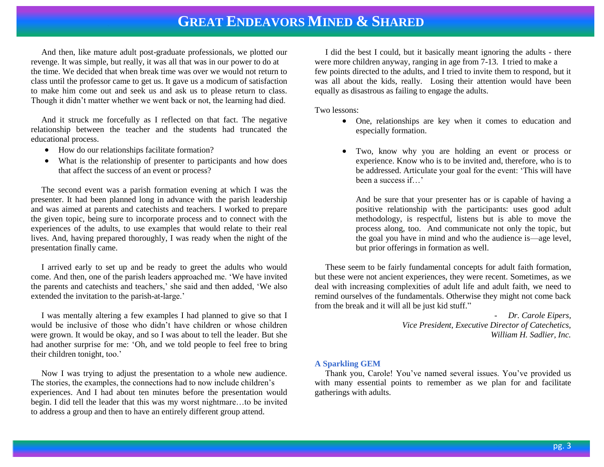And then, like mature adult post-graduate professionals, we plotted our revenge. It was simple, but really, it was all that was in our power to do at the time. We decided that when break time was over we would not return to class until the professor came to get us. It gave us a modicum of satisfaction to make him come out and seek us and ask us to please return to class. Though it didn't matter whether we went back or not, the learning had died.

 And it struck me forcefully as I reflected on that fact. The negative relationship between the teacher and the students had truncated the educational process.

- How do our relationships facilitate formation?
- What is the relationship of presenter to participants and how does that affect the success of an event or process?

 The second event was a parish formation evening at which I was the presenter. It had been planned long in advance with the parish leadership and was aimed at parents and catechists and teachers. I worked to prepare the given topic, being sure to incorporate process and to connect with the experiences of the adults, to use examples that would relate to their real lives. And, having prepared thoroughly, I was ready when the night of the presentation finally came.

 I arrived early to set up and be ready to greet the adults who would come. And then, one of the parish leaders approached me. 'We have invited the parents and catechists and teachers,' she said and then added, 'We also extended the invitation to the parish-at-large.'

 I was mentally altering a few examples I had planned to give so that I would be inclusive of those who didn't have children or whose children were grown. It would be okay, and so I was about to tell the leader. But she had another surprise for me: 'Oh, and we told people to feel free to bring their children tonight, too.'

 Now I was trying to adjust the presentation to a whole new audience. The stories, the examples, the connections had to now include children's experiences. And I had about ten minutes before the presentation would begin. I did tell the leader that this was my worst nightmare…to be invited to address a group and then to have an entirely different group attend.

 I did the best I could, but it basically meant ignoring the adults - there were more children anyway, ranging in age from 7-13. I tried to make a few points directed to the adults, and I tried to invite them to respond, but it was all about the kids, really. Losing their attention would have been equally as disastrous as failing to engage the adults.

Two lessons:

- One, relationships are key when it comes to education and especially formation.
- Two, know why you are holding an event or process or experience. Know who is to be invited and, therefore, who is to be addressed. Articulate your goal for the event: 'This will have been a success if…'

And be sure that your presenter has or is capable of having a positive relationship with the participants: uses good adult methodology, is respectful, listens but is able to move the process along, too. And communicate not only the topic, but the goal you have in mind and who the audience is—age level, but prior offerings in formation as well.

 These seem to be fairly fundamental concepts for adult faith formation, but these were not ancient experiences, they were recent. Sometimes, as we deal with increasing complexities of adult life and adult faith, we need to remind ourselves of the fundamentals. Otherwise they might not come back from the break and it will all be just kid stuff."

> - *Dr. Carole Eipers, Vice President, Executive Director of Catechetics, William H. Sadlier, Inc.*

### **A Sparkling GEM**

Thank you, Carole! You've named several issues. You've provided us with many essential points to remember as we plan for and facilitate gatherings with adults.